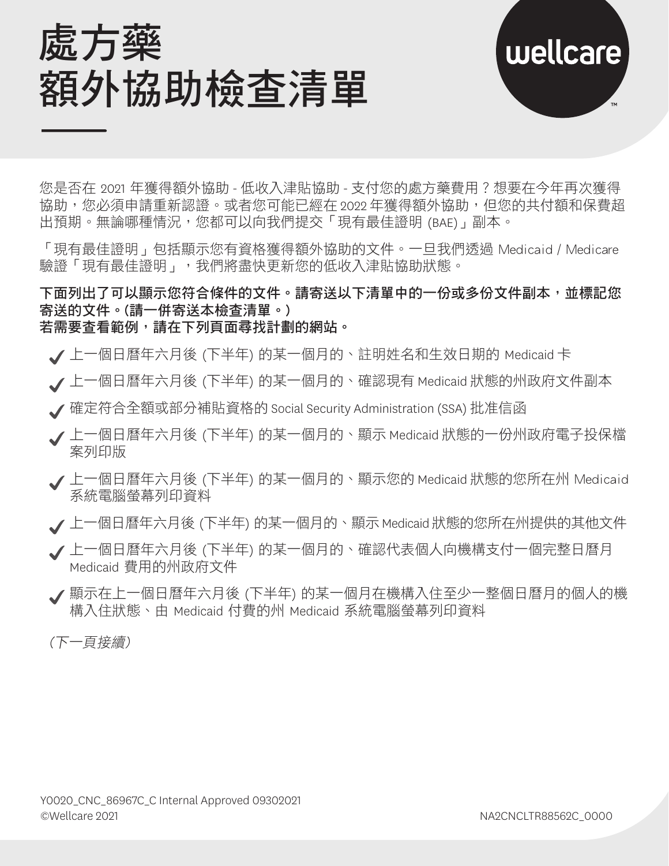



您是否在 2021 年獲得額外協助 - 低收入津貼協助 - 支付您的處方藥費用?想要在今年再次獲得 協助,您必須申請重新認證。或者您可能已經在 2022 年獲得額外協助,但您的共付額和保費超 出預期。無論哪種情況,您都可以向我們提交「現有最佳證明 (BAE)」副本。

「現有最佳證明」包括顯示您有資格獲得額外協助的文件。一旦我們透過 Medicaid / Medicare 驗證「現有最佳證明」,我們將盡快更新您的低收入津貼協助狀態。

下面列出了可以顯示您符合條件的文件。請寄送以下清單中的一份或多份文件副本,並標記您 寄送的文件。(請一併寄送本檢查清單。) 若需要查看範例,請在下列頁面尋找計劃的網站。

- 上一個日曆年六月後 (下半年) 的某一個月的、註明姓名和生效日期的 Medicaid 卡
- 上一個日曆年六月後 (下半年) 的某一個月的、確認現有 Medicaid 狀態的州政府文件副本
- 確定符合全額或部分補貼資格的 Social Security Administration (SSA) 批准信函
- 上一個日曆年六月後 (下半年) 的某一個月的、顯示 Medicaid 狀態的一份州政府電子投保檔 案列印版
- **/** 上一個日曆年六月後 (下半年) 的某一個月的、顯示您的 Medicaid 狀態的您所在州 Medicaid 系統雷腦勞幕列印資料
- 上一個日曆年六月後 (下半年) 的某一個月的、顯示 Medicaid 狀態的您所在州提供的其他文件
- 上一個日曆年六月後 (下半年) 的某一個月的、確認代表個人向機構支付一個完整日曆月 Medicaid 費用的州政府文件
- 顯示在上一個日曆年六月後 (下半年) 的某一個月在機構入住至少一整個日曆月的個人的機 構入住狀態、由 Medicaid 付費的州 Medicaid 系統電腦螢幕列印資料

(下一頁接續)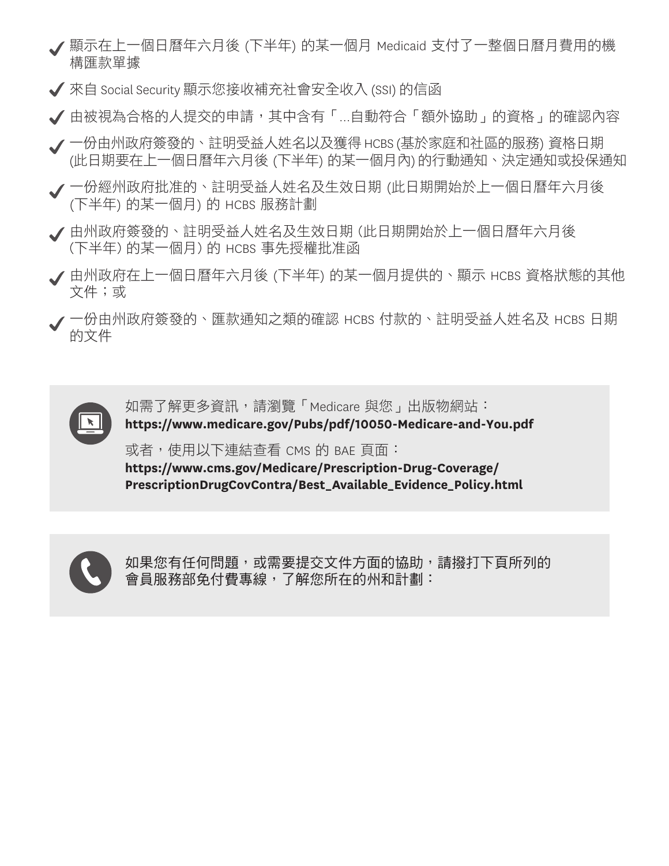- 顯示在上一個日曆年六月後 (下半年) 的某一個月 Medicaid 支付了一整個日曆月費用的機 構匯款單據
- 來自 Social Security 顯示您接收補充社會安全收入 (SSI) 的信函
- 由被視為合格的人提交的申請,其中含有「…自動符合「額外協助」的資格」的確認內容
- 一份由州政府簽發的、註明受益人姓名以及獲得 HCBS (基於家庭和社區的服務) 資格日期 (此日期要在上一個日曆年六月後 (下半年) 的某一個月內) 的行動通知、決定通知或投保通知
- 一份經州政府批准的、註明受益人姓名及生效日期 (此日期開始於上一個日曆年六月後 (下半年) 的某一個月) 的 HCBS 服務計劃
- 由州政府簽發的、註明受益人姓名及生效日期 (此日期開始於上一個日曆年六月後 (下半年) 的某一個月) 的 HCBS 事先授權批准函
- 由州政府在上一個日曆年六月後 (下半年) 的某一個月提供的、顯示 HCBS 資格狀態的其他 文件;或
- 一份由州政府簽發的、匯款通知之類的確認 HCBS 付款的、註明受益人姓名及 HCBS 日期 的文件



如需了解更多資訊,請瀏覽「Medicare 與您」出版物網站: **<https://www.medicare.gov/Pubs/pdf/10050-Medicare-and-You.pdf>** 

或者,使用以下連結查看 CMS 的 BAE 頁面:

**[https://www.cms.gov/Medicare/Prescription-Drug-Coverage/](https://www.cms.gov/Medicare/Prescription-Drug-Coverage/PrescriptionDrugCovContra/Best_Available_Evidence_Policy.html) [PrescriptionDrugCovContra/Best\\_Available\\_Evidence\\_Policy.html](https://www.cms.gov/Medicare/Prescription-Drug-Coverage/PrescriptionDrugCovContra/Best_Available_Evidence_Policy.html)**



如果您有任何問題,或需要提交文件方面的協助,請撥打下頁所列的 會員服務部免付費專線,了解您所在的州和計劃: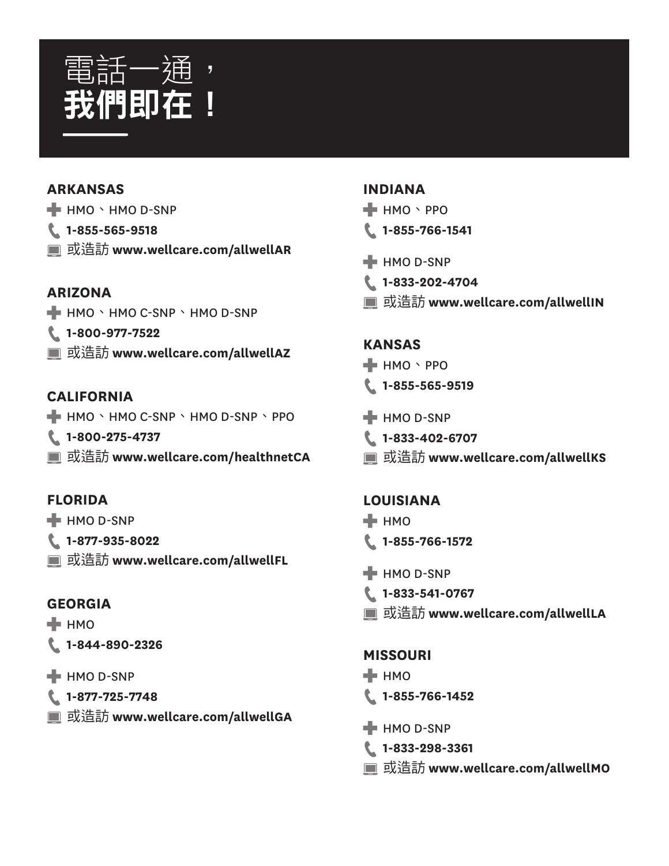

#### **ARKANSAS**

- $H$  HMO  $\cdot$  HMO D-SNP
- **1-855-565-9518**
- 或造訪 **<www.wellcare.com/allwellAR>**

### **ARIZONA**

- HMO、HMO C-SNP、HMO D-SNP
- **1-800-977-7522**
- 或造訪 **<www.wellcare.com/allwellAZ>**

# **CALIFORNIA**

- $\blacksquare$  HMO  $\cdot$  HMO C-SNP  $\cdot$  HMO D-SNP  $\cdot$  PPO
- **1-800-275-4737**
- 或造訪 **<www.wellcare.com/healthnetCA>**

# **FLORIDA**

- $H$  HMO D-SNP
- **1-877-935-8022**
- 或造訪 **<www.wellcare.com/allwellFL>**

#### **GEORGIA**

- $H$  HMO
- **1-844-890-2326**
- $H$  HMO D-SNP
- **1-877-725-7748**
- 或造訪 **<www.wellcare.com/allwellGA>**

#### **INDIANA**

- **HMO** · PPO
- **1-855-766-1541**
- $H$  HMO D-SNP
- **1-833-202-4704**
- 或造訪 **<www.wellcare.com/allwellIN>**

#### **KANSAS**

- HMO、PPO
- **1-855-565-9519**
- **H** HMO D-SNP
- **1-833-402-6707**
- 或造訪 **<www.wellcare.com/allwellKS>**

#### **LOUISIANA**

- $\blacksquare$  HMO
- **1-855-766-1572**
- **HMO D-SNP**
- **1-833-541-0767**
- 或造訪 **<www.wellcare.com/allwellLA>**

#### **MISSOURI**

- $\blacksquare$  HMO
- **1-855-766-1452**
- **HMO D-SNP**
- **1-833-298-3361**
- 或造訪 **<www.wellcare.com/allwellMO>**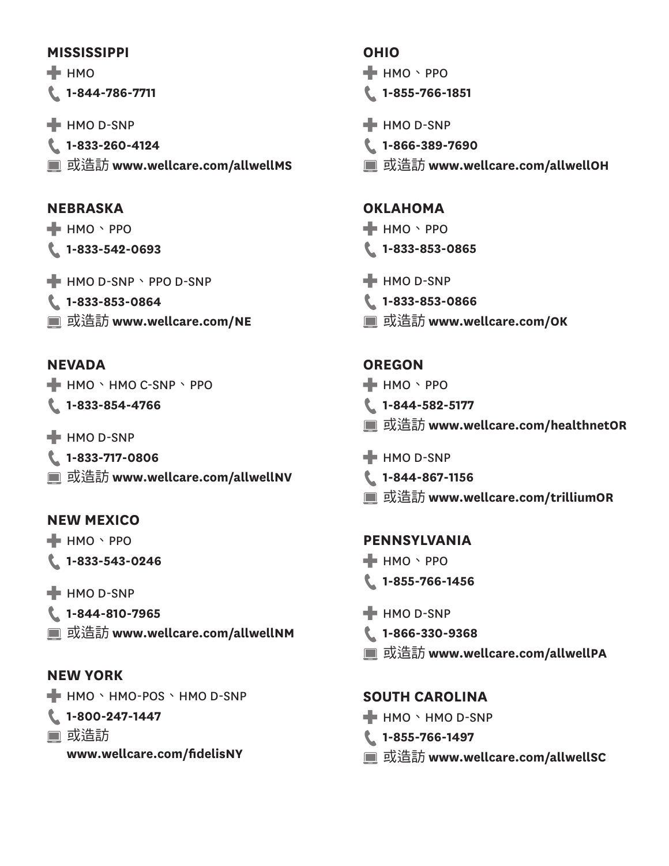#### **MISSISSIPPI**

 $\blacksquare$  HMO

**1-844-786-7711** 

- $H$  HMO D-SNP
- **1-833-260-4124** 或造訪 **<www.wellcare.com/allwellMS>**

### **NEBRASKA**

- HMO、PPO **1-833-542-0693**
- $H$  HMO D-SNP  $\cdot$  PPO D-SNP
- **1-833-853-0864**
- 或造訪 **<www.wellcare.com/NE>**

# **NEVADA**

- HMO、HMO C-SNP、PPO
- **1-833-854-4766**
- $H$  HMO D-SNP
- **1-833-717-0806**
- 或造訪 **<www.wellcare.com/allwellNV>**

# **NEW MEXICO**

- HMO、PPO
- **1-833-543-0246**
- $H$  HMO D-SNP
- **1-844-810-7965**
- 或造訪 **<www.wellcare.com/allwellNM>**

# **NEW YORK**

- HMO、HMO-POS、HMO D-SNP
- **1-800-247-1447**
- 或浩訪
	- **[www.wellcare.com/fdelisNY](www.wellcare.com/fidelisNY)**

# **OHIO**

- **H** HMO · PPO
- **1-855-766-1851**
- $H$  HMO D-SNP
- **1-866-389-7690**
- 或造訪 **<www.wellcare.com/allwellOH>**

### **OKLAHOMA**

- **HMO** · PPO
- **1-833-853-0865**
- **HMO D-SNP**
- **1-833-853-0866**
- 或造訪 **<www.wellcare.com/OK>**

# **OREGON**

- HMO、PPO
- **1-844-582-5177**
- 或造訪 **<www.wellcare.com/healthnetOR>**
- $H$  HMO D-SNP
- **1-844-867-1156**
- 或造訪 **<www.wellcare.com/trilliumOR>**

# **PENNSYLVANIA**

- $\blacksquare$  HMO \ PPO
- **1-855-766-1456**
- **H** HMO D-SNP
- **1-866-330-9368**
- 或造訪 **<www.wellcare.com/allwellPA>**

# **SOUTH CAROLINA**

- $\blacksquare$  HMO  $\cdot$  HMO D-SNP
- **1-855-766-1497**
- 或造訪 **<www.wellcare.com/allwellSC>**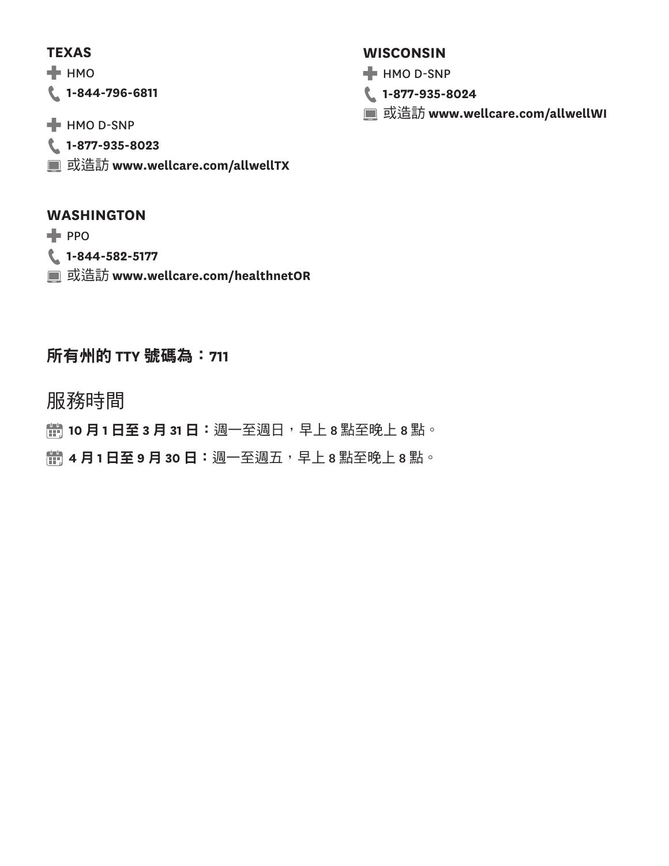#### **TEXAS**

 $H$  HMO

**1-844-796-6811** 

- **HMO D-SNP**
- **1-877-935-8023**
- 或造訪 **<www.wellcare.com/allwellTX>**

### **WASHINGTON**

 $PPO$ 

- **1-844-582-5177**
- 或造訪 **<www.wellcare.com/healthnetOR>**

# 所有州的 **TTY** 號碼為:**711**

服務時間

**情 10 月1日至3 月31日**: 週一至週日,早上8點至晚上8點。

**情 4 月1日至9月30日**: 週一至週五,早上8點至晚上8點。

### **WISCONSIN**

- **HMO D-SNP**
- **1-877-935-8024**
- 或造訪 **<www.wellcare.com/allwellWI>**